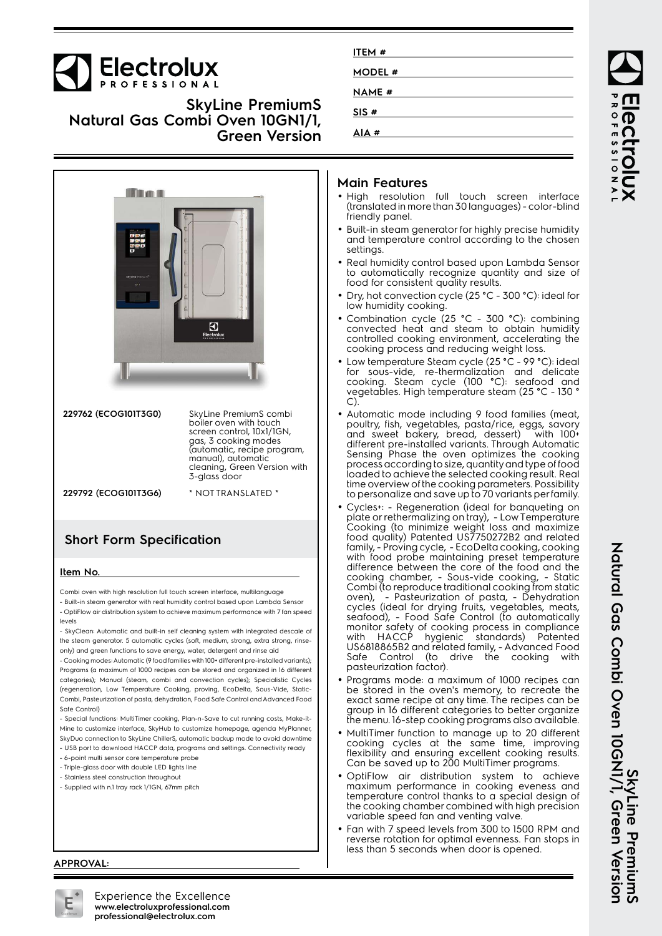

**SkyLine PremiumS Natural Gas Combi Oven 10GN1/1, Green Version**



| 229762 (ECOGI0IT3G0) | SkyLine PremiumS combi<br>boiler oven with touch<br>screen control, 10x1/1GN,<br>gas, 3 cooking modes<br>(automatic, recipe program,<br>manual), automatic<br>cleaning, Green Version with<br>3-glass door |
|----------------------|------------------------------------------------------------------------------------------------------------------------------------------------------------------------------------------------------------|
| 229792 (ECOGI0IT3G6) | * NOT TRANSLATED *                                                                                                                                                                                         |

## **Short Form Specification**

#### **Item No.**

Combi oven with high resolution full touch screen interface, multilanguage

- Built-in steam generator with real humidity control based upon Lambda Sensor - OptiFlow air distribution system to achieve maximum performance with 7 fan speed levels

- SkyClean: Automatic and built-in self cleaning system with integrated descale of the steam generator. 5 automatic cycles (soft, medium, strong, extra strong, rinseonly) and green functions to save energy, water, detergent and rinse aid

- Cooking modes: Automatic (9 food families with 100+ different pre-installed variants); Programs (a maximum of 1000 recipes can be stored and organized in 16 different categories); Manual (steam, combi and convection cycles); Specialistic Cycles (regeneration, Low Temperature Cooking, proving, EcoDelta, Sous-Vide, Static-Combi, Pasteurization of pasta, dehydration, Food Safe Control and Advanced Food Safe Control)

- Special functions: MultiTimer cooking, Plan-n-Save to cut running costs, Make-it-Mine to customize interface, SkyHub to customize homepage, agenda MyPlanner, SkyDuo connection to SkyLine ChillerS, automatic backup mode to avoid downtime

- USB port to download HACCP data, programs and settings. Connectivity ready
- 6-point multi sensor core temperature probe
- Triple-glass door with double LED lights line
- Stainless steel construction throughout

#### - Supplied with n.1 tray rack 1/1GN, 67mm pitch

| ITEM #        |  |
|---------------|--|
| <b>MODEL#</b> |  |
|               |  |
| <b>NAME</b> # |  |
| SIS#          |  |
| AIA#          |  |
|               |  |

#### **Main Features**

- High resolution full touch screen interface (translated in more than 30 languages) - color-blind friendly panel.
- Built-in steam generator for highly precise humidity and temperature control according to the chosen settings.
- Real humidity control based upon Lambda Sensor to automatically recognize quantity and size of food for consistent quality results.
- • Dry, hot convection cycle (25 °C - 300 °C): ideal for low humidity cooking.
- • Combination cycle (25 °C - 300 °C): combining convected heat and steam to obtain humidity controlled cooking environment, accelerating the cooking process and reducing weight loss.
- • Low temperature Steam cycle (25 °C - 99 °C): ideal for sous-vide, re-thermalization and delicate cooking. Steam cycle (100 °C): seafood and vegetables. High temperature steam (25 °C - 130 ° C).
- Automatic mode including 9 food families (meat, poultry, fish, vegetables, pasta/rice, eggs, savory and sweet bakery, bread, dessert) with 100+ different pre-installed variants. Through Automatic Sensing Phase the oven optimizes the cooking process according to size, quantity and type of food loaded to achieve the selected cooking result. Real time overview of the cooking parameters. Possibility to personalize and save up to 70 variants per family.
- • Cycles+: - Regeneration (ideal for banqueting on plate or rethermalizing on tray), - Low Temperature Cooking (to minimize weight loss and maximize food quality) Patented US7750272B2 and related family, - Proving cycle, - EcoDelta cooking, cooking with food probe maintaining preset temperature difference between the core of the food and the cooking chamber, - Sous-vide cooking, - Static Combi (to reproduce traditional cooking from static oven), - Pasteurization of pasta, - Dehydration cycles (ideal for drying fruits, vegetables, meats, seafood), - Food Safe Control (to automatically monitor safety of cooking process in compliance with HACCP hygienic standards) Patented US6818865B2 and related family, - Advanced Food Safe Control (to drive the cooking with pasteurization factor).
- • Programs mode: a maximum of 1000 recipes can be stored in the oven's memory, to recreate the exact same recipe at any time. The recipes can be group in 16 different categories to better organize the menu. 16-step cooking programs also available.
- MultiTimer function to manage up to 20 different cooking cycles at the same time, improving flexibility and ensuring excellent cooking results. Can be saved up to 200 MultiTimer programs.
- • OptiFlow air distribution system to achieve maximum performance in cooking eveness and temperature control thanks to a special design of the cooking chamber combined with high precision variable speed fan and venting valve.
- • Fan with 7 speed levels from 300 to 1500 RPM and reverse rotation for optimal evenness. Fan stops in less than 5 seconds when door is opened.

**APPROVAL:**



Experience the Excellence **www.electroluxprofessional.com professional@electrolux.com**

ROFESSIONA ectrolux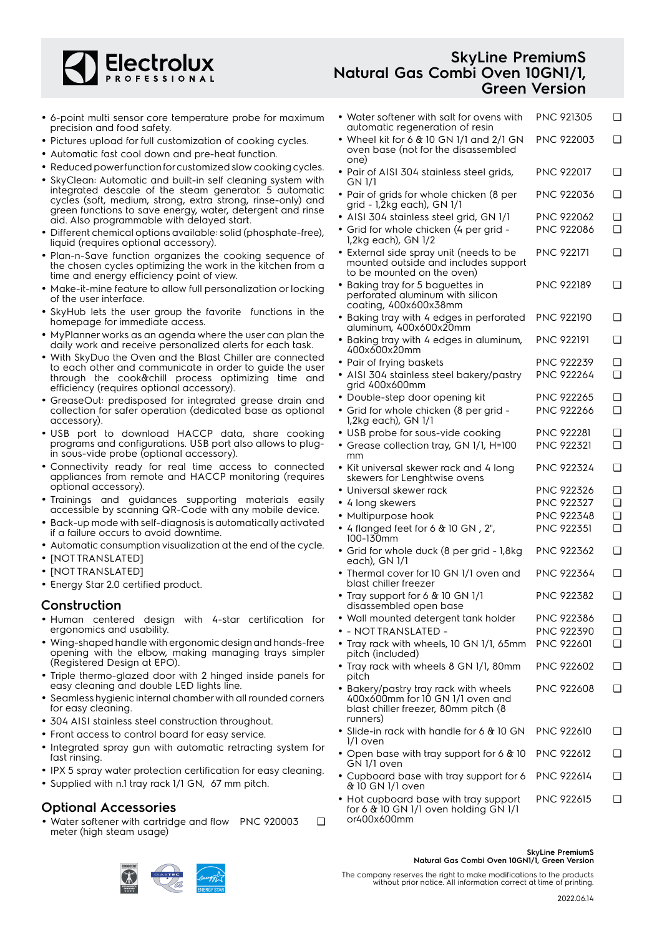

#### • 6-point multi sensor core temperature probe for maximum precision and food safety.

- Pictures upload for full customization of cooking cycles.
- Automatic fast cool down and pre-heat function.
- Reduced power function for customized slow cooking cycles.
- SkyClean: Automatic and built-in self cleaning system with integrated descale of the steam generator. 5 automatic cycles (soft, medium, strong, extra strong, rinse-only) and green functions to save energy, water, detergent and rinse aid. Also programmable with delayed start.
- Different chemical options available: solid (phosphate-free), liquid (requires optional accessory).
- Plan-n-Save function organizes the cooking sequence of the chosen cycles optimizing the work in the kitchen from a time and energy efficiency point of view.
- Make-it-mine feature to allow full personalization or locking of the user interface.
- • SkyHub lets the user group the favorite functions in the homepage for immediate access.
- MyPlanner works as an agenda where the user can plan the daily work and receive personalized alerts for each task.
- With SkyDuo the Oven and the Blast Chiller are connected to each other and communicate in order to guide the user through the cook&chill process optimizing time and efficiency (requires optional accessory).
- GreaseOut: predisposed for integrated grease drain and collection for safer operation (dedicated base as optional accessory).
- USB port to download HACCP data, share cooking programs and configurations. USB port also allows to plugin sous-vide probe (optional accessory).
- Connectivity ready for real time access to connected appliances from remote and HACCP monitoring (requires optional accessory).
- Trainings and guidances supporting materials easily accessible by scanning QR-Code with any mobile device.
- Back-up mode with self-diagnosis is automatically activated if a failure occurs to avoid downtime.
- Automatic consumption visualization at the end of the cycle.
- [NOT TRANSLATED]
- [NOT TRANSLATED]
- Energy Star 2.0 certified product.

#### **Construction**

- Human centered design with 4-star certification for ergonomics and usability.
- Wing-shaped handle with ergonomic design and hands-free opening with the elbow, making managing trays simpler (Registered Design at EPO).
- Triple thermo-glazed door with 2 hinged inside panels for easy cleaning and double LED lights line.
- • Seamless hygienic internal chamber with all rounded corners for easy cleaning.
- 304 AISI stainless steel construction throughout.
- Front access to control board for easy service.
- Integrated spray gun with automatic retracting system for fast rinsing.
- IPX 5 spray water protection certification for easy cleaning.
- Supplied with n.1 tray rack 1/1 GN, 67 mm pitch.

### **Optional Accessories**

• Water softener with cartridge and flow PNC 920003 ❑ meter (high steam usage)

## **SkyLine PremiumS Natural Gas Combi Oven 10GN1/1, Green Version**

| $\bullet\,$ Water softener with salt for ovens with<br>automatic regeneration of resin                                        | PNC 921305        | ❏ |
|-------------------------------------------------------------------------------------------------------------------------------|-------------------|---|
| • Wheel kit for 6 $&$ 10 GN 1/1 and 2/1 GN<br>oven base (not for the disassembled<br>one)                                     | PNC 922003        | ❏ |
| · Pair of AISI 304 stainless steel grids,<br>GN 1/1                                                                           | PNC 922017        | ❏ |
| • Pair of grids for whole chicken (8 per<br>grid - 1,2kg each), GN 1/1                                                        | PNC 922036        | ❏ |
| · AISI 304 stainless steel grid, GN 1/1                                                                                       | <b>PNC 922062</b> | ❏ |
| • Grid for whole chicken (4 per grid -<br>1,2kg each), GN 1/2                                                                 | <b>PNC 922086</b> | ◻ |
| • External side spray unit (needs to be<br>mounted outside and includes support<br>to be mounted on the oven)                 | <b>PNC 922171</b> | ❏ |
| • Baking tray for 5 baguettes in<br>perforated aluminum with silicon<br>coating, 400x600x38mm                                 | <b>PNC 922189</b> | ❏ |
| · Baking tray with 4 edges in perforated<br>aluminum, 400x600x20mm                                                            | PNC 922190        | ❏ |
| • Baking tray with 4 edges in aluminum,<br>400x600x20mm                                                                       | <b>PNC 922191</b> | ❏ |
| • Pair of frying baskets                                                                                                      | <b>PNC 922239</b> | ❏ |
| · AISI 304 stainless steel bakery/pastry<br>grid 400x600mm                                                                    | <b>PNC 922264</b> | ◻ |
| • Double-step door opening kit                                                                                                | <b>PNC 922265</b> | ❏ |
| · Grid for whole chicken (8 per grid -<br>1,2kg each), GN 1/1                                                                 | <b>PNC 922266</b> | ◻ |
| • USB probe for sous-vide cooking                                                                                             | <b>PNC 922281</b> | ❏ |
| • Grease collection tray, GN 1/1, H=100<br>mm                                                                                 | PNC 922321        | ❏ |
| • Kit universal skewer rack and 4 long<br>skewers for Lenghtwise ovens                                                        | PNC 922324        | ❏ |
| $\bullet\,$ Universal skewer rack                                                                                             | PNC 922326        | ❏ |
| • 4 long skewers                                                                                                              | <b>PNC 922327</b> | ◻ |
| • Multipurpose hook                                                                                                           | <b>PNC 922348</b> | ❏ |
| • 4 flanged feet for 6 $\&$ 10 GN, 2",<br>100-130mm                                                                           | PNC 922351        | ❏ |
| • Grid for whole duck (8 per grid - 1,8kg<br>each), GN 1/1                                                                    | PNC 922362        | ❏ |
| • Thermal cover for 10 GN 1/1 oven and<br>blast chiller freezer                                                               | PNC 922364        | ❏ |
| • Tray support for 6 & 10 GN 1/1<br>disassembled open base                                                                    | PNC 922382        | ❏ |
| • Wall mounted detergent tank holder                                                                                          | PNC 922386        | ❏ |
| · - NOT TRANSLATED -                                                                                                          | PNC 922390        | ❏ |
| • Tray rack with wheels, 10 GN 1/1, 65mm<br>pitch (included)                                                                  | <b>PNC 922601</b> | ◻ |
| • Tray rack with wheels 8 GN 1/1, 80mm<br>pitch                                                                               | PNC 922602        | ❏ |
| • Bakery/pastry tray rack with wheels<br>400x600mm for 10 GN 1/1 oven and<br>blast chiller freezer, 80mm pitch (8<br>runners) | PNC 922608        | ❏ |
| • Slide-in rack with handle for 6 & 10 GN<br>1/1 oven                                                                         | <b>PNC 922610</b> | ❏ |
| • Open base with tray support for 6 & 10<br>GN 1/1 oven                                                                       | PNC 922612        | ❏ |
| • Cupboard base with tray support for 6<br>& 10 GN 1/1 oven                                                                   | PNC 922614        | ❏ |
| • Hot cupboard base with tray support<br>for 6 & 10 GN 1/1 oven holding GN 1/1                                                | <b>PNC 922615</b> | ❏ |





or400x600mm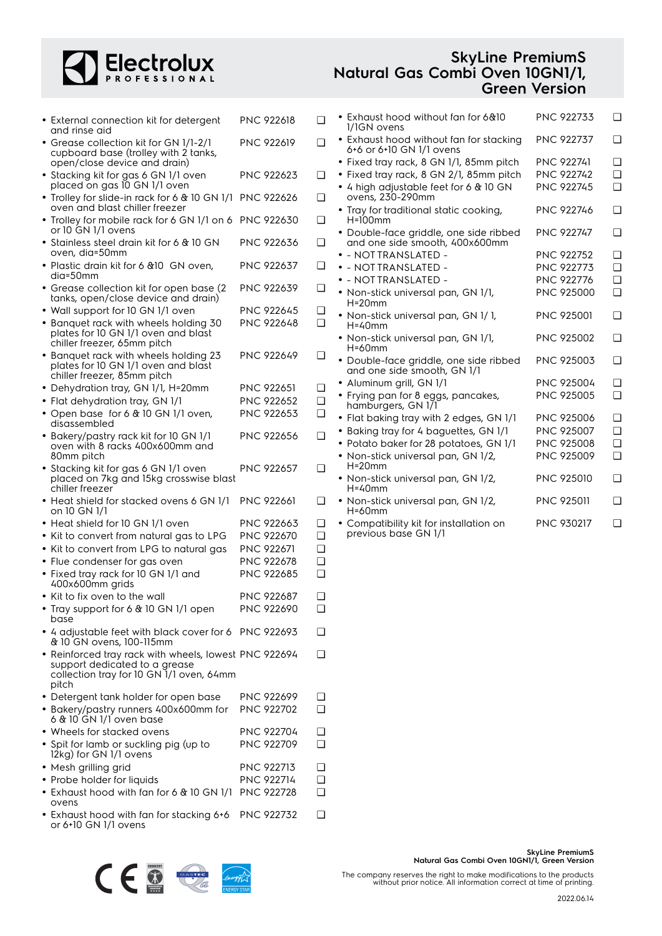## Electrolux

| <b>SkyLine PremiumS</b>         |
|---------------------------------|
| Natural Gas Combi Oven 10GN1/1, |
| <b>Green Version</b>            |

| • External connection kit for detergent<br>and rinse aid                                                                           | PNC 922618        | ❏ |
|------------------------------------------------------------------------------------------------------------------------------------|-------------------|---|
| · Grease collection kit for GN 1/1-2/1<br>cupboard base (trolley with 2 tanks,<br>open/close device and drain)                     | PNC 922619        | ❏ |
| • Stacking kit for gas 6 GN 1/1 oven<br>placed on gas 10 GN 1/1 oven                                                               | PNC 922623        | ❏ |
| • Trolley for slide-in rack for 6 & 10 GN 1/1<br>oven and blast chiller freezer                                                    | <b>PNC 922626</b> | ❏ |
| • Trolley for mobile rack for 6 GN 1/1 on 6<br>or 10 GN 1/1 ovens                                                                  | <b>PNC 922630</b> | ❏ |
| • Stainless steel drain kit for 6 & 10 GN<br>oven, dia=50mm                                                                        | <b>PNC 922636</b> | ❏ |
| • Plastic drain kit for 6 & 10 GN oven,<br>dia=50mm                                                                                | PNC 922637        | ❏ |
| • Grease collection kit for open base (2)<br>tanks, open/close device and drain)                                                   | <b>PNC 922639</b> | ❏ |
| • Wall support for 10 GN 1/1 oven                                                                                                  | PNC 922645        | ❏ |
| • Banquet rack with wheels holding 30<br>plates for 10 GN 1/1 oven and blast<br>chiller freezer, 65mm pitch                        | PNC 922648        | ∩ |
| • Banguet rack with wheels holding 23<br>plates for 10 GN 1/1 oven and blast<br>chiller freezer, 85mm pitch                        | PNC 922649        | ❏ |
| • Dehydration tray, GN 1/1, H=20mm                                                                                                 | PNC 922651        | ◻ |
| • Flat dehydration tray, GN 1/1                                                                                                    | <b>PNC 922652</b> | ❏ |
| • Open base for 6 & 10 GN 1/1 oven,                                                                                                | <b>PNC 922653</b> | ◻ |
| disassembled                                                                                                                       | PNC 922656        | ❏ |
| • Bakery/pastry rack kit for 10 GN 1/1<br>oven with 8 racks 400x600mm and<br>80mm pitch                                            |                   |   |
| • Stacking kit for gas 6 GN 1/1 oven<br>placed on 7kg and 15kg crosswise blast<br>chiller freezer                                  | PNC 922657        | ❏ |
| • Heat shield for stacked ovens 6 GN 1/1<br>on 10 GN 1/1                                                                           | PNC 922661        | ❏ |
| • Heat shield for 10 GN 1/1 oven                                                                                                   | PNC 922663        | ❏ |
| • Kit to convert from natural gas to LPG                                                                                           | PNC 922670        | ❏ |
| Kit to convert from LPG to natural gas                                                                                             | PNC 922671        | ❏ |
| • Flue condenser for gas oven                                                                                                      | <b>PNC 922678</b> | ◻ |
| • Fixed tray rack for 10 GN 1/1 and<br>400x600mm grids                                                                             | <b>PNC 922685</b> | ◻ |
| $\bullet\,$ Kit to fix oven to the wall                                                                                            | PNC 922687        | ❏ |
| Tray support for 6 & 10 GN 1/1 open<br>base                                                                                        | PNC 922690        | ❏ |
| • 4 adjustable feet with black cover for 6 PNC 922693<br>& 10 GN ovens, 100-115mm                                                  |                   | □ |
| • Reinforced tray rack with wheels, lowest PNC 922694<br>support dedicated to a grease<br>collection tray for 10 GN 1/1 oven, 64mm |                   | ❏ |
| pitch                                                                                                                              |                   |   |
| • Detergent tank holder for open base                                                                                              | PNC 922699        | ❏ |
| • Bakery/pastry runners 400x600mm for<br>6 & 10 GN 1/1 oven base                                                                   | PNC 922702        | ∩ |
| • Wheels for stacked ovens                                                                                                         | PNC 922704        | ◻ |
| • Spit for lamb or suckling pig (up to<br>12kg) for GN 1/1 ovens                                                                   | PNC 922709        | ∩ |
| • Mesh grilling grid                                                                                                               | PNC 922713        | ❏ |
| • Probe holder for liquids                                                                                                         | <b>PNC 922714</b> | ❏ |
| $\bullet$ Exhaust hood with fan for 6 & 10 GN 1/1                                                                                  | <b>PNC 922728</b> | ◻ |
| ovens                                                                                                                              |                   | ❏ |
| • Exhaust hood with fan for stacking 6+6<br>or 6+10 GN 1/1 ovens                                                                   | <b>PNC 922732</b> |   |

| • Exhaust hood without fan for 6&10<br>1/1GN ovens                       | <b>PNC 922733</b> | ∩ |
|--------------------------------------------------------------------------|-------------------|---|
| • Exhaust hood without fan for stacking<br>6+6 or 6+10 GN 1/1 ovens      | <b>PNC 922737</b> | ∩ |
| • Fixed tray rack, 8 GN 1/1, 85mm pitch                                  | <b>PNC 922741</b> | ∩ |
| · Fixed tray rack, 8 GN 2/1, 85mm pitch                                  | <b>PNC 922742</b> | ∩ |
| • 4 high adjustable feet for 6 & 10 GN<br>ovens, 230-290mm               | <b>PNC 922745</b> | ∩ |
| • Tray for traditional static cooking,<br>$H=100$ mm                     | <b>PNC 922746</b> | ∩ |
| · Double-face griddle, one side ribbed<br>and one side smooth, 400x600mm | <b>PNC 922747</b> | ∩ |
| · - NOTTRANSLATED -                                                      | <b>PNC 922752</b> | ∩ |
| $\bullet$ - NOTTRANSLATED -                                              | <b>PNC 922773</b> | ∩ |
| $\bullet$ - NOTTRANSLATED -                                              | <b>PNC 922776</b> | ∩ |
| • Non-stick universal pan, GN 1/1,<br>$H = 20$ mm                        | <b>PNC 925000</b> | ∩ |
| • Non-stick universal pan, GN 1/1,<br>$H = 40$ mm                        | <b>PNC 925001</b> | ∩ |
| • Non-stick universal pan, GN 1/1,<br>$H = 60$ mm                        | <b>PNC 925002</b> | ∩ |
| · Double-face griddle, one side ribbed<br>and one side smooth, GN 1/1    | <b>PNC 925003</b> | ∩ |
| · Aluminum grill, GN 1/1                                                 | PNC 925004        | □ |
| • Frying pan for 8 eggs, pancakes,<br>hamburgers, GN 1/1                 | <b>PNC 925005</b> | ∩ |
| • Flat baking tray with 2 edges, GN 1/1                                  | <b>PNC 925006</b> | ∩ |
| · Baking tray for 4 baguettes, GN 1/1                                    | PNC 925007        | ∩ |
| • Potato baker for 28 potatoes, GN 1/1                                   | <b>PNC 925008</b> | ∩ |
| • Non-stick universal pan, GN 1/2,<br>$H = 20$ mm                        | PNC 925009        | ∩ |
| • Non-stick universal pan, GN 1/2,<br>$H = 40$ mm                        | <b>PNC 925010</b> | □ |
| • Non-stick universal pan, GN 1/2,<br>$H = 60$ mm                        | <b>PNC 925011</b> | □ |
| • Compatibility kit for installation on<br>previous base GN 1/1          | <b>PNC 930217</b> | □ |



The company reserves the right to make modifications to the products without prior notice. All information correct at time of printing.